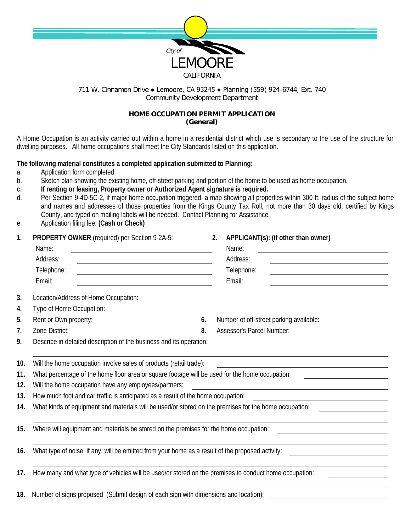

## 711 W. Cinnamon Drive • Lemoore, CA 93245 • Planning (559) 924-6744, Ext. 740 Community Development Department

## **HOME OCCUPATION PERMIT APPLICATION (General)**

A Home Occupation is an activity carried out within a home in a residential district which use is secondary to the use of the structure for dwelling purposes. All home occupations shall meet the City Standards listed on this application.

## **The following material constitutes a completed application submitted to Planning:**

- a. Application form completed.
- b. Sketch plan showing the existing home, off-street parking and portion of the home to be used as home occupation.
- c. **If renting or leasing, Property owner or Authorized Agent signature is required.**
- d. Per Section 9-4D-5C-2, if major home occupation triggered, a map showing all properties within 300 ft. radius of the subject home and names and addresses of those properties from the Kings County Tax Roll, not more than 30 days old, certified by Kings County, and typed on mailing labels will be needed. Contact Planning for Assistance.
- e. Application filing fee. **(Cash or Check)**

| 1.  | PROPERTY OWNER (required) per Section 9-2A-5:                                                                                  | APPLICANT(s): (if other than owner)<br>2.                                                                                         |  |  |  |  |  |
|-----|--------------------------------------------------------------------------------------------------------------------------------|-----------------------------------------------------------------------------------------------------------------------------------|--|--|--|--|--|
|     | Name:<br><u> 1980 - Johann Barn, mars ann an t-Amhain Aonaichte ann an t-Amhain Aonaichte ann an t-Amhain Aonaichte ann an</u> | Name:                                                                                                                             |  |  |  |  |  |
|     | Address:                                                                                                                       | Address:<br><u> 1989 - Johann Harry Harry Harry Harry Harry Harry Harry Harry Harry Harry Harry Harry Harry Harry Harry Harry</u> |  |  |  |  |  |
|     | Telephone:                                                                                                                     | Telephone:                                                                                                                        |  |  |  |  |  |
|     | Email:                                                                                                                         | Email:                                                                                                                            |  |  |  |  |  |
| 3.  | Location/Address of Home Occupation:                                                                                           |                                                                                                                                   |  |  |  |  |  |
| 4.  | Type of Home Occupation:                                                                                                       |                                                                                                                                   |  |  |  |  |  |
| 5.  | Rent or Own property:<br>6.<br><u> 1980 - Johann Barbara, martxa a</u>                                                         | Number of off-street parking available:                                                                                           |  |  |  |  |  |
| 7.  | 8.<br>Zone District:                                                                                                           | Assessor's Parcel Number:                                                                                                         |  |  |  |  |  |
| 9.  | Describe in detailed description of the business and its operation:                                                            |                                                                                                                                   |  |  |  |  |  |
| 10. | Will the home occupation involve sales of products (retail trade):                                                             |                                                                                                                                   |  |  |  |  |  |
| 11. | What percentage of the home floor area or square footage will be used for the home occupation:                                 |                                                                                                                                   |  |  |  |  |  |
| 12. | Will the home occupation have any employees/partners:                                                                          |                                                                                                                                   |  |  |  |  |  |
| 13. | How much foot and car traffic is anticipated as a result of the home occupation:                                               |                                                                                                                                   |  |  |  |  |  |
| 14. | What kinds of equipment and materials will be used/or stored on the premises for the home occupation:                          |                                                                                                                                   |  |  |  |  |  |
|     |                                                                                                                                |                                                                                                                                   |  |  |  |  |  |
| 15. | Where will equipment and materials be stored on the premises for the home occupation:                                          |                                                                                                                                   |  |  |  |  |  |
|     |                                                                                                                                |                                                                                                                                   |  |  |  |  |  |
| 16. | What type of noise, if any, will be emitted from your home as a result of the proposed activity:                               |                                                                                                                                   |  |  |  |  |  |
| 17. | How many and what type of vehicles will be used/or stored on the premises to conduct home occupation:                          |                                                                                                                                   |  |  |  |  |  |
| 18. | Number of signs proposed (Submit design of each sign with dimensions and location):                                            |                                                                                                                                   |  |  |  |  |  |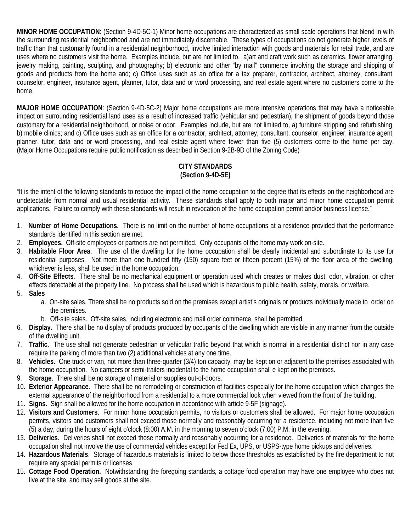**MINOR HOME OCCUPATION**: (Section 9-4D-5C-1) Minor home occupations are characterized as small scale operations that blend in with the surrounding residential neighborhood and are not immediately discernable. These types of occupations do not generate higher levels of traffic than that customarily found in a residential neighborhood, involve limited interaction with goods and materials for retail trade, and are uses where no customers visit the home. Examples include, but are not limited to, a)art and craft work such as ceramics, flower arranging, jewelry making, painting, sculpting, and photography; b) electronic and other "by mail" commerce involving the storage and shipping of goods and products from the home and; c) Office uses such as an office for a tax preparer, contractor, architect, attorney, consultant, counselor, engineer, insurance agent, planner, tutor, data and or word processing, and real estate agent where no customers come to the home.

**MAJOR HOME OCCUPATION**: (Section 9-4D-5C-2) Major home occupations are more intensive operations that may have a noticeable impact on surrounding residential land uses as a result of increased traffic (vehicular and pedestrian), the shipment of goods beyond those customary for a residential neighborhood, or noise or odor. Examples include, but are not limited to, a) furniture stripping and refurbishing, b) mobile clinics; and c) Office uses such as an office for a contractor, architect, attorney, consultant, counselor, engineer, insurance agent, planner, tutor, data and or word processing, and real estate agent where fewer than five (5) customers come to the home per day. (Major Home Occupations require public notification as described in Section 9-2B-9D of the Zoning Code)

# **CITY STANDARDS (Section 9-4D-5E)**

"It is the intent of the following standards to reduce the impact of the home occupation to the degree that its effects on the neighborhood are undetectable from normal and usual residential activity. These standards shall apply to both major and minor home occupation permit applications. Failure to comply with these standards will result in revocation of the home occupation permit and/or business license."

- 1. **Number of Home Occupations.** There is no limit on the number of home occupations at a residence provided that the performance standards identified in this section are met.
- 2. **Employees.** Off-site employees or partners are not permitted. Only occupants of the home may work on-site.
- 3. **Habitable Floor Area**. The use of the dwelling for the home occupation shall be clearly incidental and subordinate to its use for residential purposes. Not more than one hundred fifty (150) square feet or fifteen percent (15%) of the floor area of the dwelling, whichever is less, shall be used in the home occupation.
- 4. **Off-Site Effects**. There shall be no mechanical equipment or operation used which creates or makes dust, odor, vibration, or other effects detectable at the property line. No process shall be used which is hazardous to public health, safety, morals, or welfare.
- 5. **Sales**
	- a. On-site sales. There shall be no products sold on the premises except artist's originals or products individually made to order on the premises.
	- b. Off-site sales. Off-site sales, including electronic and mail order commerce, shall be permitted.
- 6. **Display.** There shall be no display of products produced by occupants of the dwelling which are visible in any manner from the outside of the dwelling unit.
- 7. **Traffic**. The use shall not generate pedestrian or vehicular traffic beyond that which is normal in a residential district nor in any case require the parking of more than two (2) additional vehicles at any one time.
- 8. **Vehicles.** One truck or van, not more than three-quarter (3/4) ton capacity, may be kept on or adjacent to the premises associated with the home occupation. No campers or semi-trailers incidental to the home occupation shall e kept on the premises.
- 9. **Storage**. There shall be no storage of material or supplies out-of-doors.
- 10. **Exterior Appearance**. There shall be no remodeling or construction of facilities especially for the home occupation which changes the external appearance of the neighborhood from a residential to a more commercial look when viewed from the front of the building.
- 11. **Signs.** Sign shall be allowed for the home occupation in accordance with article 9-5F (signage).
- 12. **Visitors and Customers**. For minor home occupation permits, no visitors or customers shall be allowed. For major home occupation permits, visitors and customers shall not exceed those normally and reasonably occurring for a residence, including not more than five (5) a day, during the hours of eight o'clock (8:00) A.M. in the morning to seven o'clock (7:00) P.M. in the evening.
- 13. **Deliveries**. Deliveries shall not exceed those normally and reasonably occurring for a residence. Deliveries of materials for the home occupation shall not involve the use of commercial vehicles except for Fed Ex, UPS, or USPS-type home pickups and deliveries.
- 14. **Hazardous Materials**. Storage of hazardous materials is limited to below those thresholds as established by the fire department to not require any special permits or licenses.
- 15. **Cottage Food Operation.** Notwithstanding the foregoing standards, a cottage food operation may have one employee who does not live at the site, and may sell goods at the site.